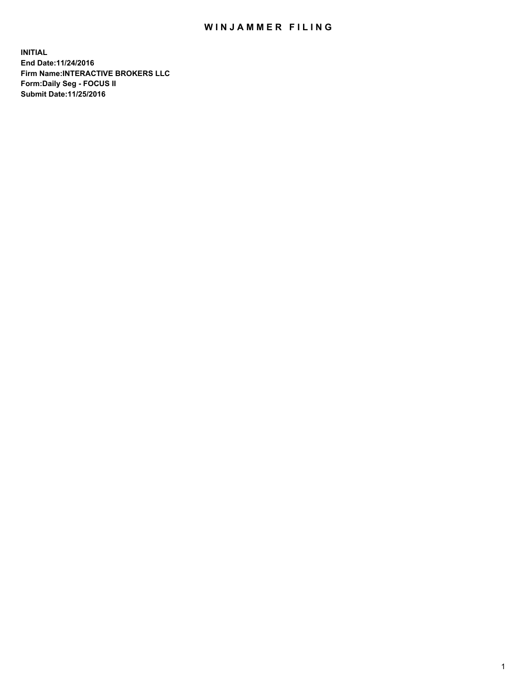## WIN JAMMER FILING

**INITIAL End Date:11/24/2016 Firm Name:INTERACTIVE BROKERS LLC Form:Daily Seg - FOCUS II Submit Date:11/25/2016**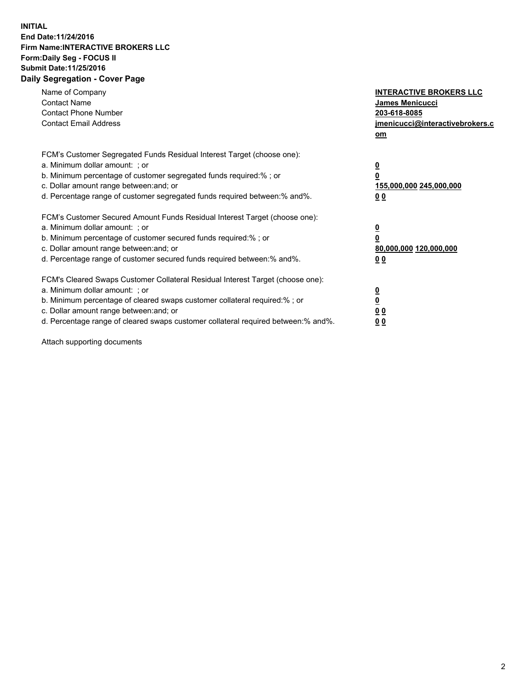## **INITIAL End Date:11/24/2016 Firm Name:INTERACTIVE BROKERS LLC Form:Daily Seg - FOCUS II Submit Date:11/25/2016 Daily Segregation - Cover Page**

| Name of Company<br><b>Contact Name</b><br><b>Contact Phone Number</b><br><b>Contact Email Address</b>                                                                                                                                                                                                                          | <b>INTERACTIVE BROKERS LLC</b><br>James Menicucci<br>203-618-8085<br><u>jmenicucci@interactivebrokers.c</u><br>om |
|--------------------------------------------------------------------------------------------------------------------------------------------------------------------------------------------------------------------------------------------------------------------------------------------------------------------------------|-------------------------------------------------------------------------------------------------------------------|
| FCM's Customer Segregated Funds Residual Interest Target (choose one):<br>a. Minimum dollar amount: ; or<br>b. Minimum percentage of customer segregated funds required:%; or<br>c. Dollar amount range between: and; or<br>d. Percentage range of customer segregated funds required between:% and%.                          | $\overline{\mathbf{0}}$<br>0<br>155,000,000 245,000,000<br>0 <sub>0</sub>                                         |
| FCM's Customer Secured Amount Funds Residual Interest Target (choose one):<br>a. Minimum dollar amount: ; or<br>b. Minimum percentage of customer secured funds required:%; or<br>c. Dollar amount range between: and; or<br>d. Percentage range of customer secured funds required between:% and%.                            | $\overline{\mathbf{0}}$<br>$\overline{\mathbf{0}}$<br>80,000,000 120,000,000<br>00                                |
| FCM's Cleared Swaps Customer Collateral Residual Interest Target (choose one):<br>a. Minimum dollar amount: ; or<br>b. Minimum percentage of cleared swaps customer collateral required:% ; or<br>c. Dollar amount range between: and; or<br>d. Percentage range of cleared swaps customer collateral required between:% and%. | $\overline{\mathbf{0}}$<br>$\overline{\mathbf{0}}$<br>0 <sub>0</sub><br><u>00</u>                                 |

Attach supporting documents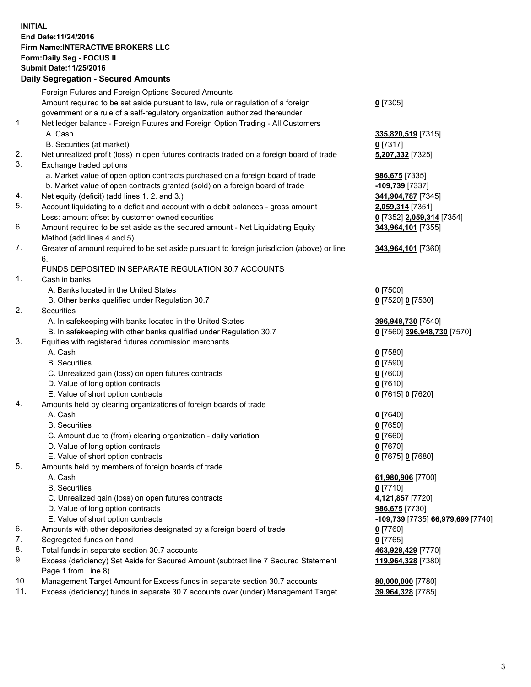## **INITIAL End Date:11/24/2016 Firm Name:INTERACTIVE BROKERS LLC Form:Daily Seg - FOCUS II Submit Date:11/25/2016 Daily Segregation - Secured Amounts**

|                | Dany Ocgregation - Oceanea Annoanta                                                         |                                   |
|----------------|---------------------------------------------------------------------------------------------|-----------------------------------|
|                | Foreign Futures and Foreign Options Secured Amounts                                         |                                   |
|                | Amount required to be set aside pursuant to law, rule or regulation of a foreign            | $0$ [7305]                        |
|                | government or a rule of a self-regulatory organization authorized thereunder                |                                   |
| $\mathbf{1}$ . | Net ledger balance - Foreign Futures and Foreign Option Trading - All Customers             |                                   |
|                | A. Cash                                                                                     | 335,820,519 [7315]                |
|                | B. Securities (at market)                                                                   | $0$ [7317]                        |
| 2.             | Net unrealized profit (loss) in open futures contracts traded on a foreign board of trade   | 5,207,332 [7325]                  |
| 3.             | Exchange traded options                                                                     |                                   |
|                | a. Market value of open option contracts purchased on a foreign board of trade              | 986,675 [7335]                    |
|                | b. Market value of open contracts granted (sold) on a foreign board of trade                | -109,739 [7337]                   |
| 4.             | Net equity (deficit) (add lines 1.2. and 3.)                                                | 341,904,787 [7345]                |
| 5.             | Account liquidating to a deficit and account with a debit balances - gross amount           | 2,059,314 [7351]                  |
|                | Less: amount offset by customer owned securities                                            | 0 [7352] 2,059,314 [7354]         |
| 6.             | Amount required to be set aside as the secured amount - Net Liquidating Equity              | 343,964,101 [7355]                |
|                | Method (add lines 4 and 5)                                                                  |                                   |
| 7.             | Greater of amount required to be set aside pursuant to foreign jurisdiction (above) or line | 343,964,101 [7360]                |
|                | 6.                                                                                          |                                   |
|                | FUNDS DEPOSITED IN SEPARATE REGULATION 30.7 ACCOUNTS                                        |                                   |
| 1.             | Cash in banks                                                                               |                                   |
|                | A. Banks located in the United States                                                       | $0$ [7500]                        |
|                | B. Other banks qualified under Regulation 30.7                                              | 0 [7520] 0 [7530]                 |
| 2.             | Securities                                                                                  |                                   |
|                | A. In safekeeping with banks located in the United States                                   | 396,948,730 [7540]                |
|                | B. In safekeeping with other banks qualified under Regulation 30.7                          | 0 [7560] 396,948,730 [7570]       |
| 3.             | Equities with registered futures commission merchants                                       |                                   |
|                | A. Cash                                                                                     | $0$ [7580]                        |
|                | <b>B.</b> Securities                                                                        | $0$ [7590]                        |
|                | C. Unrealized gain (loss) on open futures contracts                                         | $0$ [7600]                        |
|                | D. Value of long option contracts                                                           | $0$ [7610]                        |
|                | E. Value of short option contracts                                                          | 0 [7615] 0 [7620]                 |
| 4.             | Amounts held by clearing organizations of foreign boards of trade                           |                                   |
|                | A. Cash                                                                                     | $0$ [7640]                        |
|                | <b>B.</b> Securities                                                                        | $0$ [7650]                        |
|                | C. Amount due to (from) clearing organization - daily variation                             | $0$ [7660]                        |
|                | D. Value of long option contracts                                                           | $0$ [7670]                        |
|                | E. Value of short option contracts                                                          | 0 [7675] 0 [7680]                 |
| 5.             | Amounts held by members of foreign boards of trade                                          |                                   |
|                | A. Cash                                                                                     | 61,980,906 [7700]                 |
|                | <b>B.</b> Securities                                                                        | $0$ [7710]                        |
|                | C. Unrealized gain (loss) on open futures contracts                                         | 4,121,857 [7720]                  |
|                | D. Value of long option contracts                                                           | 986,675 [7730]                    |
|                | E. Value of short option contracts                                                          | -109,739 [7735] 66,979,699 [7740] |
| 6.             | Amounts with other depositories designated by a foreign board of trade                      | 0 [7760]                          |
| 7.             |                                                                                             |                                   |
|                | Segregated funds on hand                                                                    | $0$ [7765]                        |
| 8.<br>9.       | Total funds in separate section 30.7 accounts                                               | 463,928,429 [7770]                |
|                | Excess (deficiency) Set Aside for Secured Amount (subtract line 7 Secured Statement         | 119,964,328 [7380]                |
|                | Page 1 from Line 8)                                                                         |                                   |
| 10.            | Management Target Amount for Excess funds in separate section 30.7 accounts                 | 80,000,000 [7780]                 |
| 11.            | Excess (deficiency) funds in separate 30.7 accounts over (under) Management Target          | 39,964,328 [7785]                 |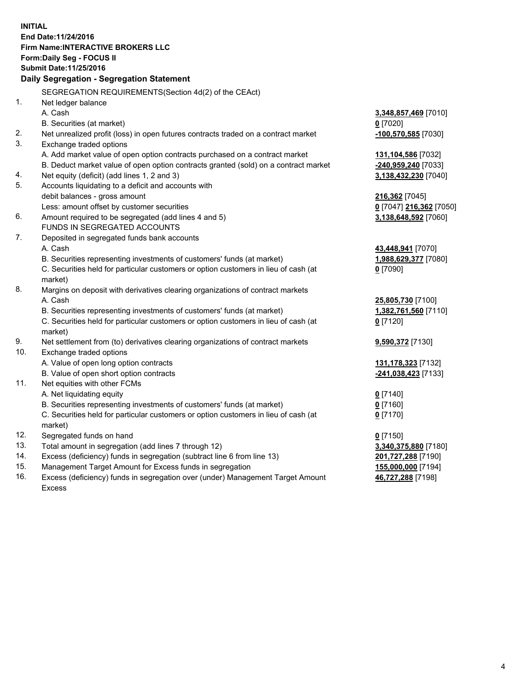**INITIAL End Date:11/24/2016 Firm Name:INTERACTIVE BROKERS LLC Form:Daily Seg - FOCUS II Submit Date:11/25/2016 Daily Segregation - Segregation Statement** SEGREGATION REQUIREMENTS(Section 4d(2) of the CEAct) 1. Net ledger balance A. Cash **3,348,857,469** [7010] B. Securities (at market) **0** [7020] 2. Net unrealized profit (loss) in open futures contracts traded on a contract market **-100,570,585** [7030] 3. Exchange traded options A. Add market value of open option contracts purchased on a contract market **131,104,586** [7032] B. Deduct market value of open option contracts granted (sold) on a contract market **-240,959,240** [7033] 4. Net equity (deficit) (add lines 1, 2 and 3) **3,138,432,230** [7040] 5. Accounts liquidating to a deficit and accounts with debit balances - gross amount **216,362** [7045] Less: amount offset by customer securities **0** [7047] **216,362** [7050] 6. Amount required to be segregated (add lines 4 and 5) **3,138,648,592** [7060] FUNDS IN SEGREGATED ACCOUNTS 7. Deposited in segregated funds bank accounts A. Cash **43,448,941** [7070] B. Securities representing investments of customers' funds (at market) **1,988,629,377** [7080] C. Securities held for particular customers or option customers in lieu of cash (at market) **0** [7090] 8. Margins on deposit with derivatives clearing organizations of contract markets A. Cash **25,805,730** [7100] B. Securities representing investments of customers' funds (at market) **1,382,761,560** [7110] C. Securities held for particular customers or option customers in lieu of cash (at market) **0** [7120] 9. Net settlement from (to) derivatives clearing organizations of contract markets **9,590,372** [7130] 10. Exchange traded options A. Value of open long option contracts **131,178,323** [7132] B. Value of open short option contracts **-241,038,423** [7133] 11. Net equities with other FCMs A. Net liquidating equity **0** [7140] B. Securities representing investments of customers' funds (at market) **0** [7160] C. Securities held for particular customers or option customers in lieu of cash (at market) **0** [7170] 12. Segregated funds on hand **0** [7150] 13. Total amount in segregation (add lines 7 through 12) **3,340,375,880** [7180] 14. Excess (deficiency) funds in segregation (subtract line 6 from line 13) **201,727,288** [7190] 15. Management Target Amount for Excess funds in segregation **155,000,000** [7194]

16. Excess (deficiency) funds in segregation over (under) Management Target Amount Excess

**46,727,288** [7198]